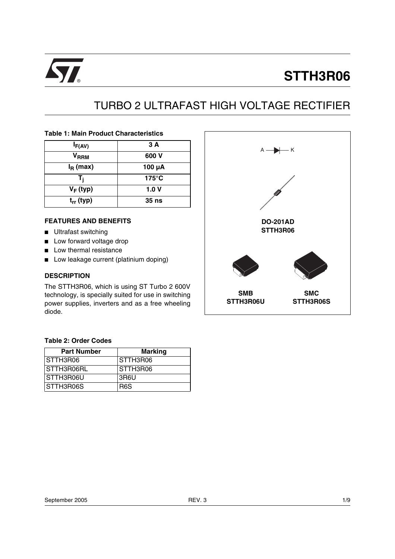

# **STTH3R06**

# TURBO 2 ULTRAFAST HIGH VOLTAGE RECTIFIER

## **Table 1: Main Product Characteristics**

| $I_{F(AV)}$    | 3 A             |
|----------------|-----------------|
| $V_{RRM}$      | 600 V           |
| $I_R$ (max)    | 100 µA          |
| т.             | $175^{\circ}$ C |
| $V_F$ (typ)    | 1.0V            |
| $t_{rr}$ (typ) | 35 ns           |

## **FEATURES AND BENEFITS**

- Ultrafast switching
- Low forward voltage drop
- Low thermal resistance
- Low leakage current (platinium doping)

#### **DESCRIPTION**

The STTH3R06, which is using ST Turbo 2 600V technology, is specially suited for use in switching power supplies, inverters and as a free wheeling diode.

## **Table 2: Order Codes**

| <b>Part Number</b> | <b>Marking</b>   |
|--------------------|------------------|
| STTH3R06           | STTH3R06         |
| STTH3R06RL         | STTH3R06         |
| STTH3R06U          | 3R6U             |
| STTH3R06S          | R <sub>6</sub> S |

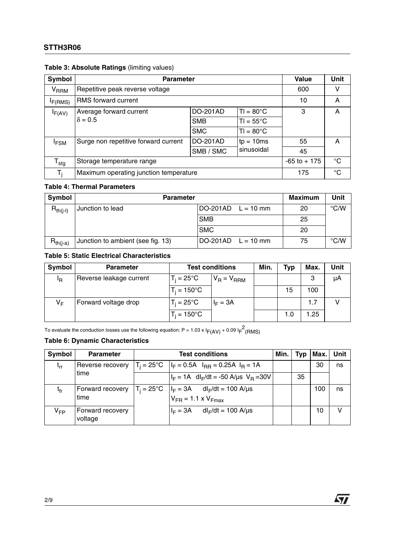## **STTH3R06**

| Symbol           | <b>Parameter</b>                       |                 |                    | Value | Unit        |
|------------------|----------------------------------------|-----------------|--------------------|-------|-------------|
| $V_{RRM}$        | Repetitive peak reverse voltage        |                 |                    | 600   | v           |
| F(RMS)           | <b>RMS</b> forward current             |                 |                    | 10    | A           |
| $I_{F(AV)}$      | Average forward current                | <b>DO-201AD</b> | $T = 80^{\circ}$ C | 3     | A           |
|                  | $\delta = 0.5$                         | <b>SMB</b>      | $TI = 55^{\circ}C$ |       |             |
|                  |                                        | <b>SMC</b>      | $TI = 80^{\circ}C$ |       |             |
| <sup>I</sup> FSM | Surge non repetitive forward current   | DO-201AD        | $tp = 10ms$        | 55    | A           |
|                  |                                        | SMB / SMC       | sinusoidal         | 45    |             |
| $T_{\text{stg}}$ | Storage temperature range              | $-65$ to $+175$ | $^{\circ}C$        |       |             |
| T.               | Maximum operating junction temperature |                 |                    | 175   | $^{\circ}C$ |

## **Table 4: Thermal Parameters**

| Symbol        | <b>Parameter</b>                  | <b>Maximum</b>              | Unit |    |      |
|---------------|-----------------------------------|-----------------------------|------|----|------|
| $R_{th(i-l)}$ | Junction to lead                  | $DO-201AD$ $L = 10$ mm      |      | 20 | °C/W |
|               |                                   | <b>SMB</b>                  |      | 25 |      |
|               |                                   | <b>SMC</b>                  |      | 20 |      |
| $R_{th(i-a)}$ | Junction to ambient (see fig. 13) | $\text{DO-201AD}$ L = 10 mm |      | 75 | °C/W |

## **Table 5: Static Electrical Characteristics**

| Symbol | <b>Parameter</b>        | <b>Test conditions</b> |                 | Min. | <b>Typ</b> | Max. | Unit |
|--------|-------------------------|------------------------|-----------------|------|------------|------|------|
| ΙR     | Reverse leakage current | $T_i = 25^{\circ}C$    | $V_R = V_{RRM}$ |      |            | 3    | μA   |
|        |                         | $T_i = 150^{\circ}$ C  |                 |      | 15         | 100  |      |
| VF     | Forward voltage drop    | $T_i = 25^{\circ}C$    | $I_F = 3A$      |      |            | 1.7  |      |
|        |                         | $T_i = 150^{\circ}$ C  |                 |      | 1.0        | 1.25 |      |

To evaluate the conduction losses use the following equation: P = 1.03 x I<sub>F(AV)</sub> + 0.09 I<sub>F</sub><sup>2</sup>(RMS)

## **Table 6: Dynamic Characteristics**

| Symbol          | <b>Parameter</b>            | <b>Test conditions</b>                                                                        | Min. | Typ | Max. | Unit |
|-----------------|-----------------------------|-----------------------------------------------------------------------------------------------|------|-----|------|------|
| $t_{rr}$        | Reverse recovery            | $T_i = 25^{\circ}C$ $ I_F = 0.5A$ $I_{RR} = 0.25A$ $I_R = 1A$                                 |      |     | 30   | ns   |
|                 | time                        | $I_F = 1A$ dl <sub>F</sub> /dt = -50 A/us V <sub>B</sub> =30V                                 |      | 35  |      |      |
| t <sub>fr</sub> | Forward recovery<br>time    | $T_i = 25^{\circ}C$ $ I_F = 3A$ dl <sub>F</sub> /dt = 100 A/µs<br>$V_{FR}$ = 1.1 x $V_{Fmax}$ |      |     | 100  | ns   |
| V <sub>FP</sub> | Forward recovery<br>voltage | $I_F = 3A$ dl <sub>F</sub> /dt = 100 A/µs                                                     |      |     | 10   |      |

 $\sqrt{1}$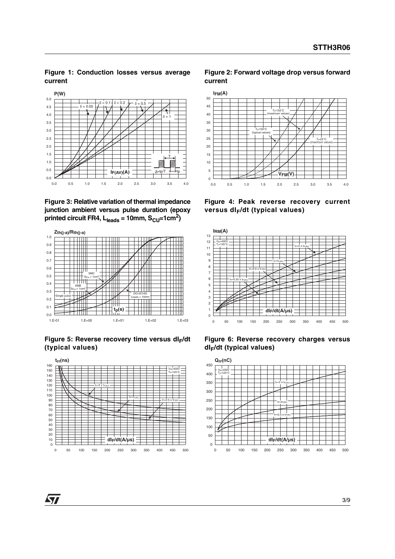#### **Figure 1: Conduction losses versus average current**



**Figure 3: Relative variation of thermal impedance junction ambient versus pulse duration (epoxy** printed circuit FR4,  $L_{leads} = 10$ mm,  $S_{CU} = 1$ cm<sup>2</sup>)



Figure 5: Reverse recovery time versus dl<sub>F</sub>/dt **(typical values)**



#### **Figure 2: Forward voltage drop versus forward current**



**Figure 4: Peak reverse recovery current versus dIF/dt (typical values)**



**Figure 6: Reverse recovery charges versus dIF/dt (typical values)**



57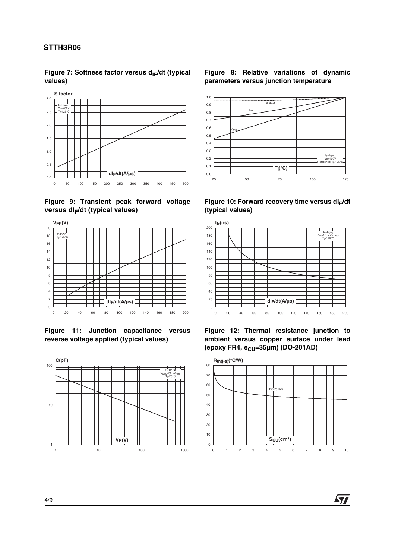Figure 7: Softness factor versus d<sub>IF</sub>/dt (typical **values)**







**Figure 11: Junction capacitance versus reverse voltage applied (typical values)**



#### **Figure 8: Relative variations of dynamic parameters versus junction temperature**



Figure 10: Forward recovery time versus dl<sub>F</sub>/dt **(typical values)**



**Figure 12: Thermal resistance junction to ambient versus copper surface under lead (epoxy FR4, e<sub>CU</sub>=35μm) (DO-201AD)** 



**Ayy** 

4/9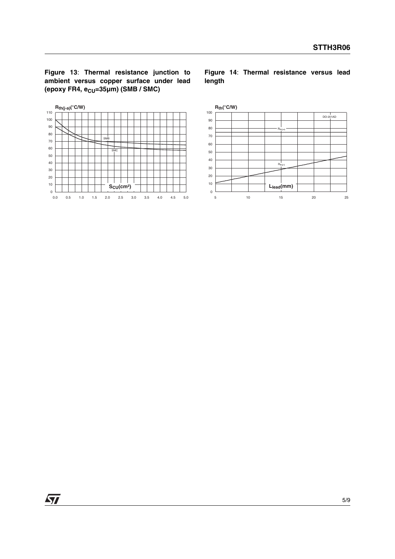**Figure 13**: **Thermal resistance junction to ambient versus copper surface under lead** (epoxy FR4, e<sub>CU</sub>=35µm) (SMB / SMC)



**Figure 14**: **Thermal resistance versus lead length**



 $\sqrt{27}$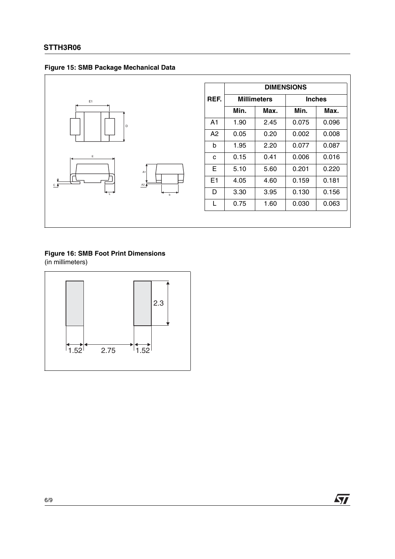



|      | <b>DIMENSIONS</b> |                    |       |               |  |
|------|-------------------|--------------------|-------|---------------|--|
| REF. |                   | <b>Millimeters</b> |       | <b>Inches</b> |  |
|      | Min.              | Max.               | Min.  | Max.          |  |
| A1   | 1.90              | 2.45               | 0.075 | 0.096         |  |
| A2   | 0.05              | 0.20               | 0.002 | 0.008         |  |
| b    | 1.95              | 2.20               | 0.077 | 0.087         |  |
| C    | 0.15              | 0.41               | 0.006 | 0.016         |  |
| E    | 5.10              | 5.60               | 0.201 | 0.220         |  |
| E1   | 4.05              | 4.60               | 0.159 | 0.181         |  |
| D    | 3.30              | 3.95               | 0.130 | 0.156         |  |
| L    | 0.75              | 1.60               | 0.030 | 0.063         |  |

## **Figure 16: SMB Foot Print Dimensions**

(in millimeters)

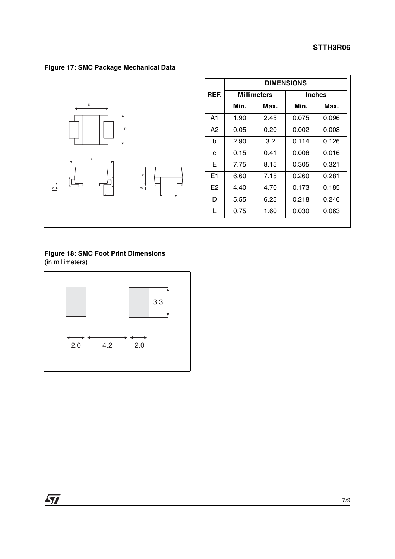**Figure 17: SMC Package Mechanical Data**



|      | <b>DIMENSIONS</b>  |      |       |               |  |
|------|--------------------|------|-------|---------------|--|
| REF. | <b>Millimeters</b> |      |       | <b>Inches</b> |  |
|      | Min.               | Max. | Min.  | Max.          |  |
| A1   | 1.90               | 2.45 | 0.075 | 0.096         |  |
| A2   | 0.05               | 0.20 | 0.002 | 0.008         |  |
| b    | 2.90               | 3.2  | 0.114 | 0.126         |  |
| C    | 0.15               | 0.41 | 0.006 | 0.016         |  |
| Е    | 7.75               | 8.15 | 0.305 | 0.321         |  |
| E1   | 6.60               | 7.15 | 0.260 | 0.281         |  |
| E2   | 4.40               | 4.70 | 0.173 | 0.185         |  |
| D    | 5.55               | 6.25 | 0.218 | 0.246         |  |
| L    | 0.75               | 1.60 | 0.030 | 0.063         |  |

## **Figure 18: SMC Foot Print Dimensions**

(in millimeters)

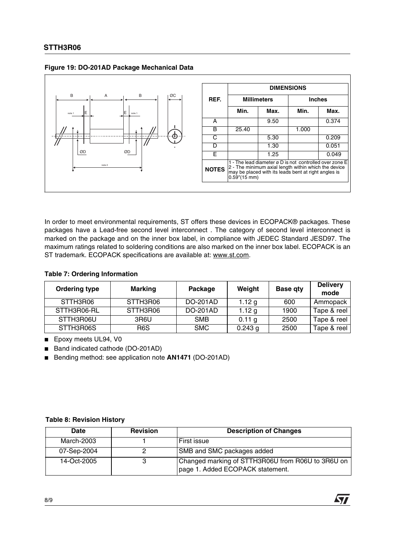

## **Figure 19: DO-201AD Package Mechanical Data**

In order to meet environmental requirements, ST offers these devices in ECOPACK® packages. These packages have a Lead-free second level interconnect . The category of second level interconnect is marked on the package and on the inner box label, in compliance with JEDEC Standard JESD97. The maximum ratings related to soldering conditions are also marked on the inner box label. ECOPACK is an ST trademark. ECOPACK specifications are available at: www.st.com.

## **Table 7: Ordering Information**

| <b>Ordering type</b> | <b>Marking</b>   | Package    | Weight    | <b>Base qty</b> | <b>Delivery</b><br>mode |
|----------------------|------------------|------------|-----------|-----------------|-------------------------|
| STTH3R06             | STTH3R06         | DO-201AD   | 1.12 $q$  | 600             | Ammopack                |
| STTH3R06-RL          | STTH3R06         | DO-201AD   | 1.12 $g$  | 1900            | Tape & reel             |
| STTH3R06U            | 3R6U             | <b>SMB</b> | 0.11 g    | 2500            | Tape & reel             |
| STTH3R06S            | R <sub>6</sub> S | <b>SMC</b> | $0.243$ g | 2500            | Tape & reel             |

■ Epoxy meets UL94, V0

■ Band indicated cathode (DO-201AD)

■ Bending method: see application note AN1471 (DO-201AD)

## **Table 8: Revision History**

| <b>Date</b> | <b>Revision</b> | <b>Description of Changes</b>                                                         |
|-------------|-----------------|---------------------------------------------------------------------------------------|
| March-2003  |                 | <b>First issue</b>                                                                    |
| 07-Sep-2004 |                 | SMB and SMC packages added                                                            |
| 14-Oct-2005 |                 | Changed marking of STTH3R06U from R06U to 3R6U on<br>page 1. Added ECOPACK statement. |

**AVI**